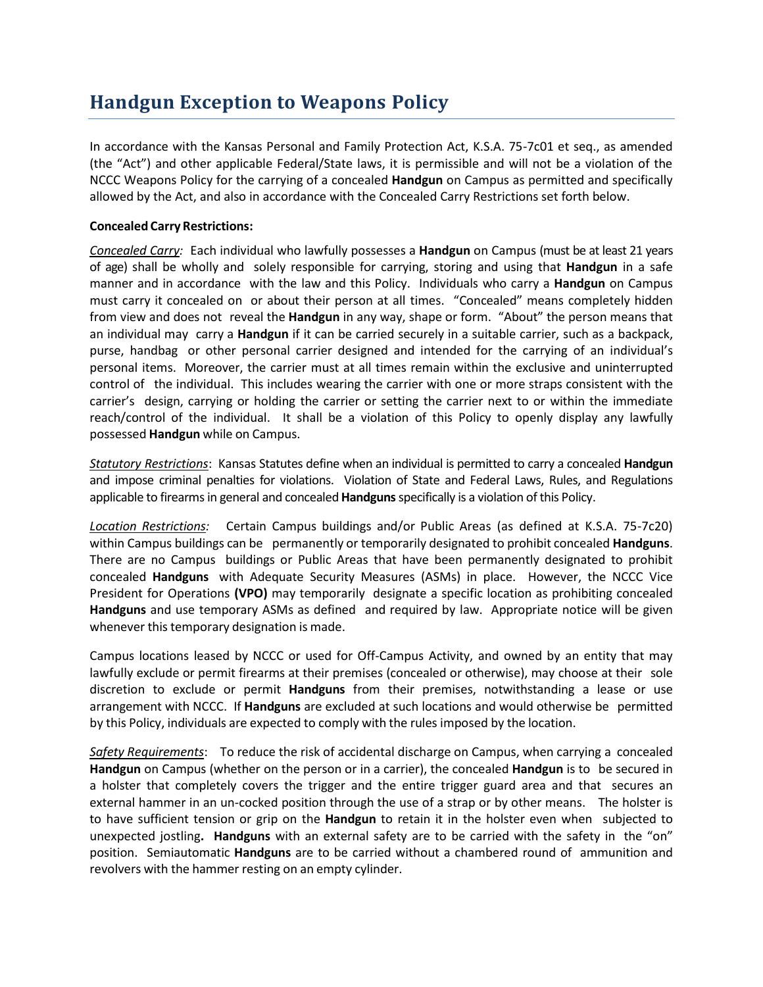## **Handgun Exception to Weapons Policy**

In accordance with the Kansas Personal and Family Protection Act, K.S.A. 75-7c01 et seq., as amended (the "Act") and other applicable Federal/State laws, it is permissible and will not be a violation of the NCCC Weapons Policy for the carrying of a concealed **Handgun** on Campus as permitted and specifically allowed by the Act, and also in accordance with the Concealed Carry Restrictions set forth below.

## **Concealed Carry Restrictions:**

*Concealed Carry:* Each individual who lawfully possesses a **Handgun** on Campus (must be at least 21 years of age) shall be wholly and solely responsible for carrying, storing and using that **Handgun** in a safe manner and in accordance with the law and this Policy. Individuals who carry a **Handgun** on Campus must carry it concealed on or about their person at all times. "Concealed" means completely hidden from view and does not reveal the **Handgun** in any way, shape or form. "About" the person means that an individual may carry a **Handgun** if it can be carried securely in a suitable carrier, such as a backpack, purse, handbag or other personal carrier designed and intended for the carrying of an individual's personal items. Moreover, the carrier must at all times remain within the exclusive and uninterrupted control of the individual. This includes wearing the carrier with one or more straps consistent with the carrier's design, carrying or holding the carrier or setting the carrier next to or within the immediate reach/control of the individual. It shall be a violation of this Policy to openly display any lawfully possessed **Handgun** while on Campus.

*Statutory Restrictions*: Kansas Statutes define when an individual is permitted to carry a concealed **Handgun** and impose criminal penalties for violations. Violation of State and Federal Laws, Rules, and Regulations applicable to firearms in general and concealed **Handguns** specifically is a violation of this Policy.

*Location Restrictions:* Certain Campus buildings and/or Public Areas (as defined at K.S.A. 75-7c20) within Campus buildings can be permanently or temporarily designated to prohibit concealed **Handguns**. There are no Campus buildings or Public Areas that have been permanently designated to prohibit concealed **Handguns** with Adequate Security Measures (ASMs) in place. However, the NCCC Vice President for Operations **(VPO)** may temporarily designate a specific location as prohibiting concealed **Handguns** and use temporary ASMs as defined and required by law. Appropriate notice will be given whenever this temporary designation is made.

Campus locations leased by NCCC or used for Off-Campus Activity, and owned by an entity that may lawfully exclude or permit firearms at their premises (concealed or otherwise), may choose at their sole discretion to exclude or permit **Handguns** from their premises, notwithstanding a lease or use arrangement with NCCC. If **Handguns** are excluded at such locations and would otherwise be permitted by this Policy, individuals are expected to comply with the rules imposed by the location.

*Safety Requirements*: To reduce the risk of accidental discharge on Campus, when carrying a concealed **Handgun** on Campus (whether on the person or in a carrier), the concealed **Handgun** is to be secured in a holster that completely covers the trigger and the entire trigger guard area and that secures an external hammer in an un-cocked position through the use of a strap or by other means. The holster is to have sufficient tension or grip on the **Handgun** to retain it in the holster even when subjected to unexpected jostling**. Handguns** with an external safety are to be carried with the safety in the "on" position. Semiautomatic **Handguns** are to be carried without a chambered round of ammunition and revolvers with the hammer resting on an empty cylinder.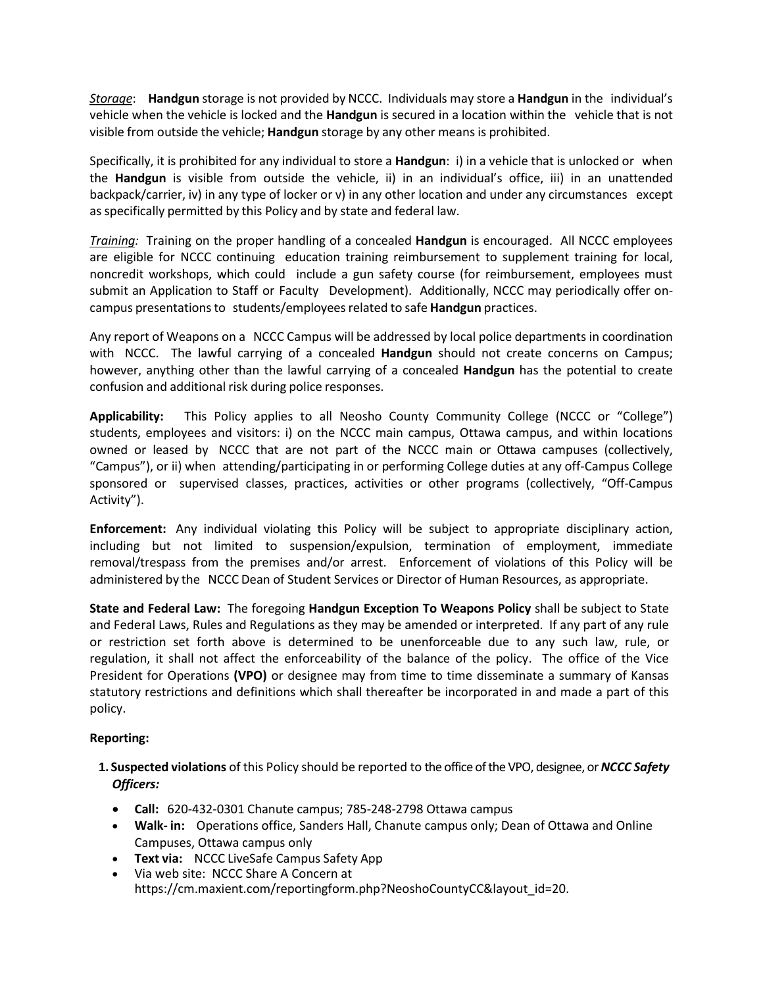*Storage*:**Handgun** storage is not provided by NCCC. Individuals may store a **Handgun** in the individual's vehicle when the vehicle is locked and the **Handgun** is secured in a location within the vehicle that is not visible from outside the vehicle; **Handgun** storage by any other means is prohibited.

Specifically, it is prohibited for any individual to store a **Handgun**: i) in a vehicle that is unlocked or when the **Handgun** is visible from outside the vehicle, ii) in an individual's office, iii) in an unattended backpack/carrier, iv) in any type of locker or v) in any other location and under any circumstances except as specifically permitted by this Policy and by state and federal law.

*Training:* Training on the proper handling of a concealed **Handgun** is encouraged. All NCCC employees are eligible for NCCC continuing education training reimbursement to supplement training for local, noncredit workshops, which could include a gun safety course (for reimbursement, employees must submit an Application to Staff or Faculty Development). Additionally, NCCC may periodically offer oncampus presentations to students/employees related to safe **Handgun** practices.

Any report of Weapons on a NCCC Campus will be addressed by local police departments in coordination with NCCC. The lawful carrying of a concealed **Handgun** should not create concerns on Campus; however, anything other than the lawful carrying of a concealed **Handgun** has the potential to create confusion and additional risk during police responses.

**Applicability:** This Policy applies to all Neosho County Community College (NCCC or "College") students, employees and visitors: i) on the NCCC main campus, Ottawa campus, and within locations owned or leased by NCCC that are not part of the NCCC main or Ottawa campuses (collectively, "Campus"), or ii) when attending/participating in or performing College duties at any off-Campus College sponsored or supervised classes, practices, activities or other programs (collectively, "Off-Campus Activity").

**Enforcement:** Any individual violating this Policy will be subject to appropriate disciplinary action, including but not limited to suspension/expulsion, termination of employment, immediate removal/trespass from the premises and/or arrest. Enforcement of violations of this Policy will be administered by the NCCC Dean of Student Services or Director of Human Resources, as appropriate.

**State and Federal Law:** The foregoing **Handgun Exception To Weapons Policy** shall be subject to State and Federal Laws, Rules and Regulations as they may be amended or interpreted. If any part of any rule or restriction set forth above is determined to be unenforceable due to any such law, rule, or regulation, it shall not affect the enforceability of the balance of the policy. The office of the Vice President for Operations **(VPO)** or designee may from time to time disseminate a summary of Kansas statutory restrictions and definitions which shall thereafter be incorporated in and made a part of this policy.

## **Reporting:**

- **1. Suspected violations** of this Policy should be reported to the office of the VPO, designee, or *NCCC Safety Officers:*
	- **Call:** 620-432-0301 Chanute campus; 785-248-2798 Ottawa campus
	- **Walk- in:** Operations office, Sanders Hall, Chanute campus only; Dean of Ottawa and Online Campuses, Ottawa campus only
	- **Text via:** NCCC LiveSafe Campus Safety App
	- Via web site: NCCC Share A Concern at https://cm.maxient.com/reportingform.php?NeoshoCountyCC&layout\_id=20.